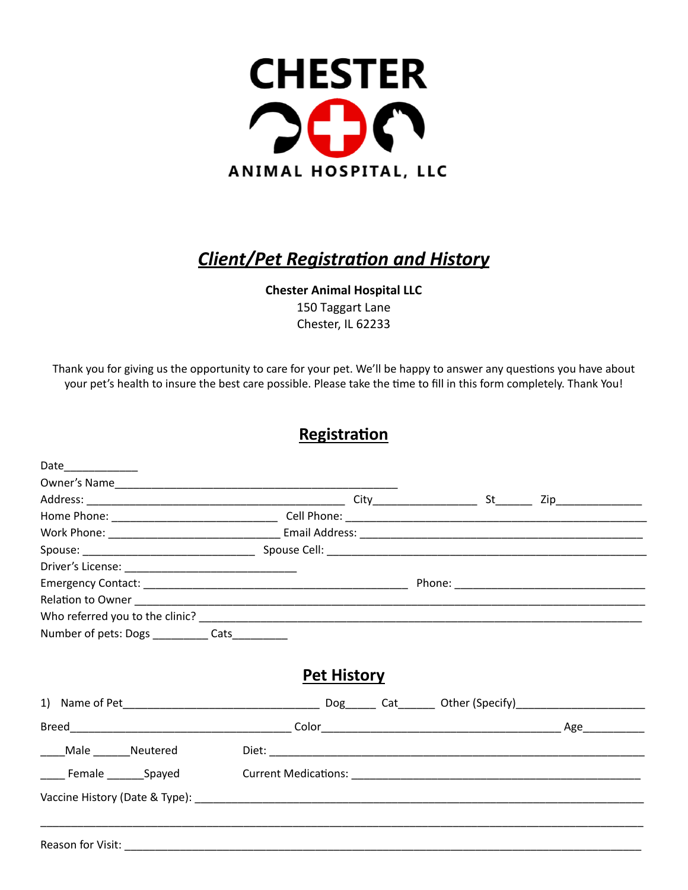

## **Client/Pet Registration and History**

**Chester Animal Hospital LLC**  150 Taggart Lane Chester, IL 62233

Thank you for giving us the opportunity to care for your pet. We'll be happy to answer any questions you have about your pet's health to insure the best care possible. Please take the time to fill in this form completely. Thank You!

## **Registration**

| Date______________                               |                    |  |  |
|--------------------------------------------------|--------------------|--|--|
|                                                  |                    |  |  |
|                                                  |                    |  |  |
|                                                  |                    |  |  |
|                                                  |                    |  |  |
|                                                  |                    |  |  |
|                                                  |                    |  |  |
|                                                  |                    |  |  |
|                                                  |                    |  |  |
|                                                  |                    |  |  |
| Number of pets: Dogs ____________ Cats__________ |                    |  |  |
|                                                  | <b>Pet History</b> |  |  |
|                                                  |                    |  |  |
| Male _______Neutered                             |                    |  |  |
| _____ Female ________Spayed                      |                    |  |  |
|                                                  |                    |  |  |
|                                                  |                    |  |  |
| Reason for Visit:                                |                    |  |  |